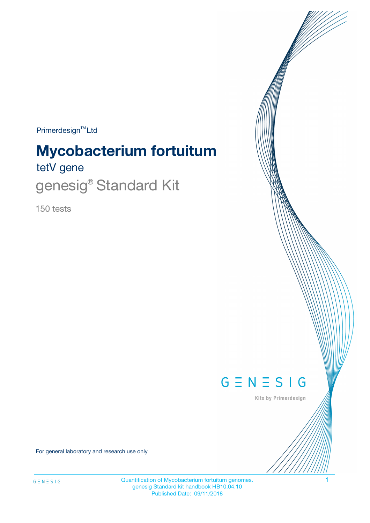Primerdesign<sup>™</sup>Ltd

# tetV gene **Mycobacterium fortuitum**

genesig<sup>®</sup> Standard Kit

150 tests



Kits by Primerdesign

For general laboratory and research use only

Quantification of Mycobacterium fortuitum genomes. 1 genesig Standard kit handbook HB10.04.10 Published Date: 09/11/2018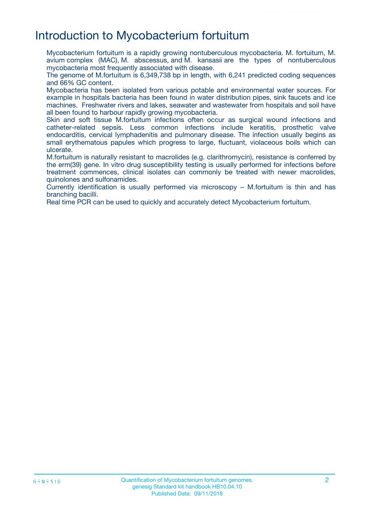## Introduction to Mycobacterium fortuitum

Mycobacterium fortuitum is a rapidly growing nontuberculous mycobacteria. M. fortuitum, M. avium complex (MAC), M. abscessus, and M. kansasii are the types of nontuberculous mycobacteria most frequently associated with disease.

The genome of M.fortuitum is 6,349,738 bp in length, with 6,241 predicted coding sequences and 66% GC content.

Mycobacteria has been isolated from various potable and environmental water sources. For example in hospitals bacteria has been found in water distribution pipes, sink faucets and ice machines. Freshwater rivers and lakes, seawater and wastewater from hospitals and soil have all been found to harbour rapidly growing mycobacteria.

Skin and soft tissue M.fortuitum infections often occur as surgical wound infections and catheter-related sepsis. Less common infections include keratitis, prosthetic valve endocarditis, cervical lymphadenitis and pulmonary disease. The infection usually begins as small erythematous papules which progress to large, fluctuant, violaceous boils which can ulcerate.

M.fortuitum is naturally resistant to macrolides (e.g. clarithromycin), resistance is conferred by the erm(39) gene. In vitro drug susceptibility testing is usually performed for infections before treatment commences, clinical isolates can commonly be treated with newer macrolides, quinolones and sulfonamides.

Currently identification is usually performed via microscopy – M.fortuitum is thin and has branching bacilli.

Real time PCR can be used to quickly and accurately detect Mycobacterium fortuitum.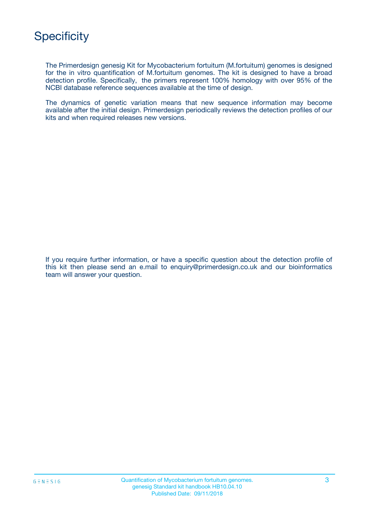

The Primerdesign genesig Kit for Mycobacterium fortuitum (M.fortuitum) genomes is designed for the in vitro quantification of M.fortuitum genomes. The kit is designed to have a broad detection profile. Specifically, the primers represent 100% homology with over 95% of the NCBI database reference sequences available at the time of design.

The dynamics of genetic variation means that new sequence information may become available after the initial design. Primerdesign periodically reviews the detection profiles of our kits and when required releases new versions.

If you require further information, or have a specific question about the detection profile of this kit then please send an e.mail to enquiry@primerdesign.co.uk and our bioinformatics team will answer your question.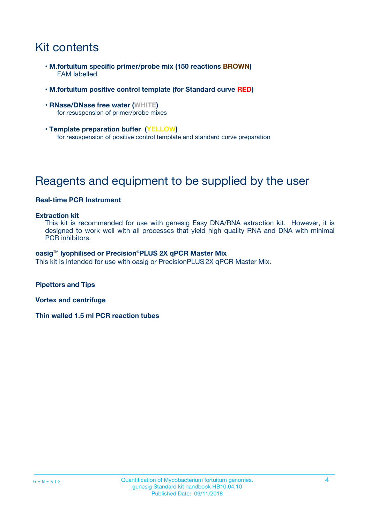## Kit contents

- **M.fortuitum specific primer/probe mix (150 reactions BROWN)** FAM labelled
- **M.fortuitum positive control template (for Standard curve RED)**
- **RNase/DNase free water (WHITE)** for resuspension of primer/probe mixes
- **Template preparation buffer (YELLOW)** for resuspension of positive control template and standard curve preparation

## Reagents and equipment to be supplied by the user

#### **Real-time PCR Instrument**

#### **Extraction kit**

This kit is recommended for use with genesig Easy DNA/RNA extraction kit. However, it is designed to work well with all processes that yield high quality RNA and DNA with minimal PCR inhibitors.

#### **oasig**TM **lyophilised or Precision**®**PLUS 2X qPCR Master Mix**

This kit is intended for use with oasig or PrecisionPLUS2X qPCR Master Mix.

**Pipettors and Tips**

**Vortex and centrifuge**

**Thin walled 1.5 ml PCR reaction tubes**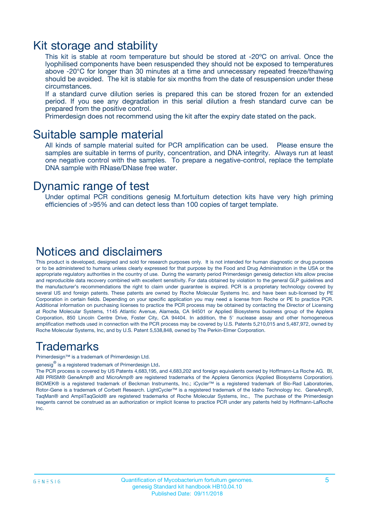### Kit storage and stability

This kit is stable at room temperature but should be stored at -20ºC on arrival. Once the lyophilised components have been resuspended they should not be exposed to temperatures above -20°C for longer than 30 minutes at a time and unnecessary repeated freeze/thawing should be avoided. The kit is stable for six months from the date of resuspension under these circumstances.

If a standard curve dilution series is prepared this can be stored frozen for an extended period. If you see any degradation in this serial dilution a fresh standard curve can be prepared from the positive control.

Primerdesign does not recommend using the kit after the expiry date stated on the pack.

### Suitable sample material

All kinds of sample material suited for PCR amplification can be used. Please ensure the samples are suitable in terms of purity, concentration, and DNA integrity. Always run at least one negative control with the samples. To prepare a negative-control, replace the template DNA sample with RNase/DNase free water.

### Dynamic range of test

Under optimal PCR conditions genesig M.fortuitum detection kits have very high priming efficiencies of >95% and can detect less than 100 copies of target template.

### Notices and disclaimers

This product is developed, designed and sold for research purposes only. It is not intended for human diagnostic or drug purposes or to be administered to humans unless clearly expressed for that purpose by the Food and Drug Administration in the USA or the appropriate regulatory authorities in the country of use. During the warranty period Primerdesign genesig detection kits allow precise and reproducible data recovery combined with excellent sensitivity. For data obtained by violation to the general GLP guidelines and the manufacturer's recommendations the right to claim under guarantee is expired. PCR is a proprietary technology covered by several US and foreign patents. These patents are owned by Roche Molecular Systems Inc. and have been sub-licensed by PE Corporation in certain fields. Depending on your specific application you may need a license from Roche or PE to practice PCR. Additional information on purchasing licenses to practice the PCR process may be obtained by contacting the Director of Licensing at Roche Molecular Systems, 1145 Atlantic Avenue, Alameda, CA 94501 or Applied Biosystems business group of the Applera Corporation, 850 Lincoln Centre Drive, Foster City, CA 94404. In addition, the 5' nuclease assay and other homogeneous amplification methods used in connection with the PCR process may be covered by U.S. Patents 5,210,015 and 5,487,972, owned by Roche Molecular Systems, Inc, and by U.S. Patent 5,538,848, owned by The Perkin-Elmer Corporation.

### Trademarks

Primerdesign™ is a trademark of Primerdesign Ltd.

genesig $^\circledR$  is a registered trademark of Primerdesign Ltd.

The PCR process is covered by US Patents 4,683,195, and 4,683,202 and foreign equivalents owned by Hoffmann-La Roche AG. BI, ABI PRISM® GeneAmp® and MicroAmp® are registered trademarks of the Applera Genomics (Applied Biosystems Corporation). BIOMEK® is a registered trademark of Beckman Instruments, Inc.; iCycler™ is a registered trademark of Bio-Rad Laboratories, Rotor-Gene is a trademark of Corbett Research. LightCycler™ is a registered trademark of the Idaho Technology Inc. GeneAmp®, TaqMan® and AmpliTaqGold® are registered trademarks of Roche Molecular Systems, Inc., The purchase of the Primerdesign reagents cannot be construed as an authorization or implicit license to practice PCR under any patents held by Hoffmann-LaRoche Inc.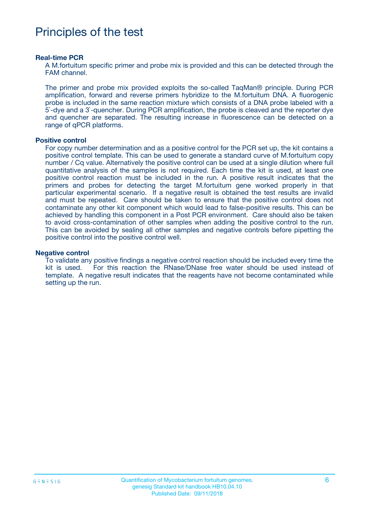## Principles of the test

#### **Real-time PCR**

A M.fortuitum specific primer and probe mix is provided and this can be detected through the FAM channel.

The primer and probe mix provided exploits the so-called TaqMan® principle. During PCR amplification, forward and reverse primers hybridize to the M.fortuitum DNA. A fluorogenic probe is included in the same reaction mixture which consists of a DNA probe labeled with a 5`-dye and a 3`-quencher. During PCR amplification, the probe is cleaved and the reporter dye and quencher are separated. The resulting increase in fluorescence can be detected on a range of qPCR platforms.

#### **Positive control**

For copy number determination and as a positive control for the PCR set up, the kit contains a positive control template. This can be used to generate a standard curve of M.fortuitum copy number / Cq value. Alternatively the positive control can be used at a single dilution where full quantitative analysis of the samples is not required. Each time the kit is used, at least one positive control reaction must be included in the run. A positive result indicates that the primers and probes for detecting the target M.fortuitum gene worked properly in that particular experimental scenario. If a negative result is obtained the test results are invalid and must be repeated. Care should be taken to ensure that the positive control does not contaminate any other kit component which would lead to false-positive results. This can be achieved by handling this component in a Post PCR environment. Care should also be taken to avoid cross-contamination of other samples when adding the positive control to the run. This can be avoided by sealing all other samples and negative controls before pipetting the positive control into the positive control well.

#### **Negative control**

To validate any positive findings a negative control reaction should be included every time the kit is used. For this reaction the RNase/DNase free water should be used instead of template. A negative result indicates that the reagents have not become contaminated while setting up the run.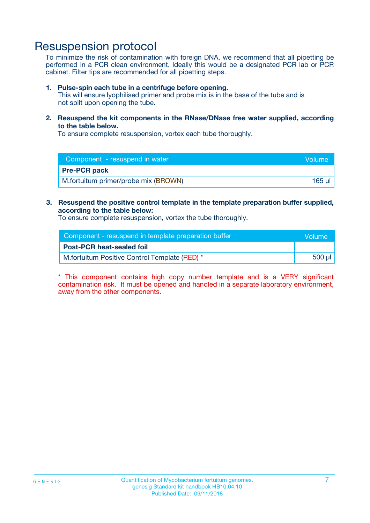## Resuspension protocol

To minimize the risk of contamination with foreign DNA, we recommend that all pipetting be performed in a PCR clean environment. Ideally this would be a designated PCR lab or PCR cabinet. Filter tips are recommended for all pipetting steps.

#### **1. Pulse-spin each tube in a centrifuge before opening.**

This will ensure lyophilised primer and probe mix is in the base of the tube and is not spilt upon opening the tube.

**2. Resuspend the kit components in the RNase/DNase free water supplied, according to the table below.**

To ensure complete resuspension, vortex each tube thoroughly.

| Component - resuspend in water       | Volume: |
|--------------------------------------|---------|
| <b>Pre-PCR pack</b>                  |         |
| M.fortuitum primer/probe mix (BROWN) | 165 ul  |

### **3. Resuspend the positive control template in the template preparation buffer supplied, according to the table below:**

To ensure complete resuspension, vortex the tube thoroughly.

| Component - resuspend in template preparation buffer |        |  |
|------------------------------------------------------|--------|--|
| <b>Post-PCR heat-sealed foil</b>                     |        |  |
| M.fortuitum Positive Control Template (RED) *        | 500 µl |  |

\* This component contains high copy number template and is a VERY significant contamination risk. It must be opened and handled in a separate laboratory environment, away from the other components.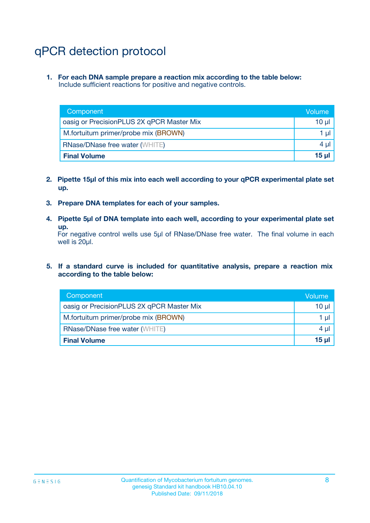## qPCR detection protocol

**1. For each DNA sample prepare a reaction mix according to the table below:** Include sufficient reactions for positive and negative controls.

| Component                                 | Volume     |
|-------------------------------------------|------------|
| oasig or PrecisionPLUS 2X qPCR Master Mix | 10 $\mu$   |
| M.fortuitum primer/probe mix (BROWN)      | 1 $\mu$    |
| <b>RNase/DNase free water (WHITE)</b>     | $4 \mu$    |
| <b>Final Volume</b>                       | $15$ $\mu$ |

- **2. Pipette 15µl of this mix into each well according to your qPCR experimental plate set up.**
- **3. Prepare DNA templates for each of your samples.**
- **4. Pipette 5µl of DNA template into each well, according to your experimental plate set up.**

For negative control wells use 5µl of RNase/DNase free water. The final volume in each well is 20µl.

**5. If a standard curve is included for quantitative analysis, prepare a reaction mix according to the table below:**

| Component                                 | Volume          |
|-------------------------------------------|-----------------|
| oasig or PrecisionPLUS 2X qPCR Master Mix | $10 \mu$        |
| M.fortuitum primer/probe mix (BROWN)      | 1 µI            |
| <b>RNase/DNase free water (WHITE)</b>     | $4 \mu$         |
| <b>Final Volume</b>                       | 15 <sub>µ</sub> |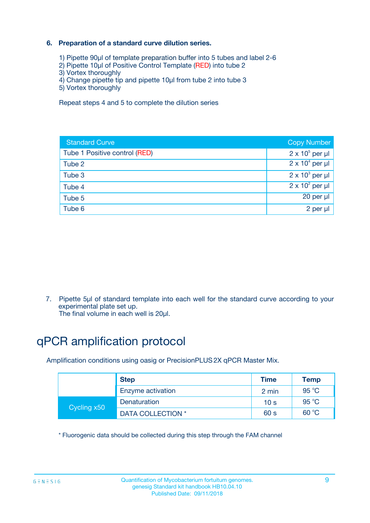### **6. Preparation of a standard curve dilution series.**

- 1) Pipette 90µl of template preparation buffer into 5 tubes and label 2-6
- 2) Pipette 10µl of Positive Control Template (RED) into tube 2
- 3) Vortex thoroughly
- 4) Change pipette tip and pipette 10µl from tube 2 into tube 3
- 5) Vortex thoroughly

Repeat steps 4 and 5 to complete the dilution series

| <b>Standard Curve</b>         | <b>Copy Number</b>     |
|-------------------------------|------------------------|
| Tube 1 Positive control (RED) | $2 \times 10^5$ per µl |
| Tube 2                        | $2 \times 10^4$ per µl |
| Tube 3                        | $2 \times 10^3$ per µl |
| Tube 4                        | $2 \times 10^2$ per µl |
| Tube 5                        | 20 per µl              |
| Tube 6                        | $2$ per $\mu$          |

7. Pipette 5µl of standard template into each well for the standard curve according to your experimental plate set up.

The final volume in each well is 20µl.

## qPCR amplification protocol

Amplification conditions using oasig or PrecisionPLUS2X qPCR Master Mix.

|             | <b>Step</b>       | <b>Time</b>     | Temp    |
|-------------|-------------------|-----------------|---------|
|             | Enzyme activation | 2 min           | 95 °C   |
| Cycling x50 | Denaturation      | 10 <sub>s</sub> | 95 $°C$ |
|             | DATA COLLECTION * | 60 s            | 60 °C   |

\* Fluorogenic data should be collected during this step through the FAM channel